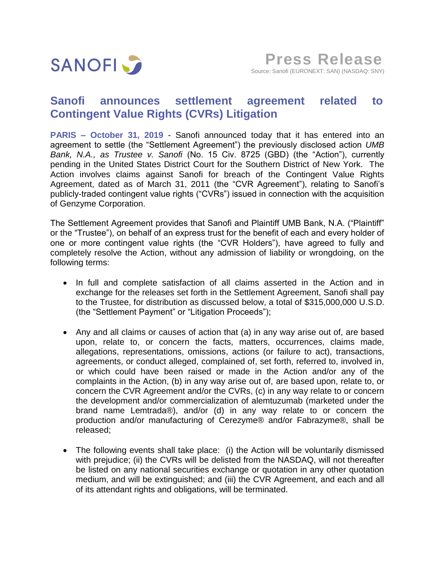

## **Sanofi announces settlement agreement related to Contingent Value Rights (CVRs) Litigation**

**PARIS – October 31, 2019** - Sanofi announced today that it has entered into an agreement to settle (the "Settlement Agreement") the previously disclosed action *UMB Bank, N.A., as Trustee v. Sanofi* (No. 15 Civ. 8725 (GBD) (the "Action"), currently pending in the United States District Court for the Southern District of New York. The Action involves claims against Sanofi for breach of the Contingent Value Rights Agreement, dated as of March 31, 2011 (the "CVR Agreement"), relating to Sanofi's publicly-traded contingent value rights ("CVRs") issued in connection with the acquisition of Genzyme Corporation.

The Settlement Agreement provides that Sanofi and Plaintiff UMB Bank, N.A. ("Plaintiff" or the "Trustee"), on behalf of an express trust for the benefit of each and every holder of one or more contingent value rights (the "CVR Holders"), have agreed to fully and completely resolve the Action, without any admission of liability or wrongdoing, on the following terms:

- In full and complete satisfaction of all claims asserted in the Action and in exchange for the releases set forth in the Settlement Agreement, Sanofi shall pay to the Trustee, for distribution as discussed below, a total of \$315,000,000 U.S.D. (the "Settlement Payment" or "Litigation Proceeds");
- Any and all claims or causes of action that (a) in any way arise out of, are based upon, relate to, or concern the facts, matters, occurrences, claims made, allegations, representations, omissions, actions (or failure to act), transactions, agreements, or conduct alleged, complained of, set forth, referred to, involved in, or which could have been raised or made in the Action and/or any of the complaints in the Action, (b) in any way arise out of, are based upon, relate to, or concern the CVR Agreement and/or the CVRs, (c) in any way relate to or concern the development and/or commercialization of alemtuzumab (marketed under the brand name Lemtrada®), and/or (d) in any way relate to or concern the production and/or manufacturing of Cerezyme® and/or Fabrazyme®, shall be released;
- The following events shall take place: (i) the Action will be voluntarily dismissed with prejudice; (ii) the CVRs will be delisted from the NASDAQ, will not thereafter be listed on any national securities exchange or quotation in any other quotation medium, and will be extinguished; and (iii) the CVR Agreement, and each and all of its attendant rights and obligations, will be terminated.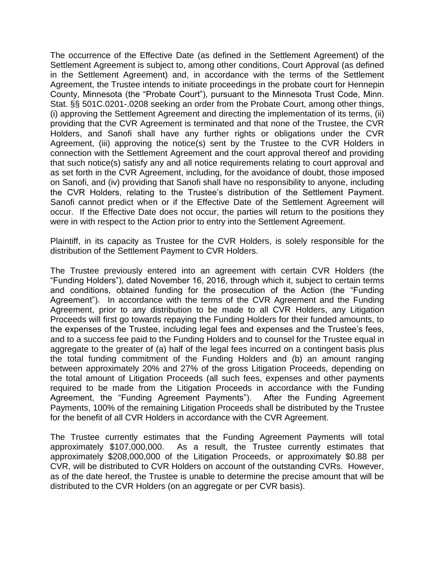The occurrence of the Effective Date (as defined in the Settlement Agreement) of the Settlement Agreement is subject to, among other conditions, Court Approval (as defined in the Settlement Agreement) and, in accordance with the terms of the Settlement Agreement, the Trustee intends to initiate proceedings in the probate court for Hennepin County, Minnesota (the "Probate Court"), pursuant to the Minnesota Trust Code, Minn. Stat. §§ 501C.0201-.0208 seeking an order from the Probate Court, among other things, (i) approving the Settlement Agreement and directing the implementation of its terms, (ii) providing that the CVR Agreement is terminated and that none of the Trustee, the CVR Holders, and Sanofi shall have any further rights or obligations under the CVR Agreement, (iii) approving the notice(s) sent by the Trustee to the CVR Holders in connection with the Settlement Agreement and the court approval thereof and providing that such notice(s) satisfy any and all notice requirements relating to court approval and as set forth in the CVR Agreement, including, for the avoidance of doubt, those imposed on Sanofi, and (iv) providing that Sanofi shall have no responsibility to anyone, including the CVR Holders, relating to the Trustee's distribution of the Settlement Payment. Sanofi cannot predict when or if the Effective Date of the Settlement Agreement will occur. If the Effective Date does not occur, the parties will return to the positions they were in with respect to the Action prior to entry into the Settlement Agreement.

Plaintiff, in its capacity as Trustee for the CVR Holders, is solely responsible for the distribution of the Settlement Payment to CVR Holders.

The Trustee previously entered into an agreement with certain CVR Holders (the "Funding Holders"), dated November 16, 2016, through which it, subject to certain terms and conditions, obtained funding for the prosecution of the Action (the "Funding Agreement"). In accordance with the terms of the CVR Agreement and the Funding Agreement, prior to any distribution to be made to all CVR Holders, any Litigation Proceeds will first go towards repaying the Funding Holders for their funded amounts, to the expenses of the Trustee, including legal fees and expenses and the Trustee's fees, and to a success fee paid to the Funding Holders and to counsel for the Trustee equal in aggregate to the greater of (a) half of the legal fees incurred on a contingent basis plus the total funding commitment of the Funding Holders and (b) an amount ranging between approximately 20% and 27% of the gross Litigation Proceeds, depending on the total amount of Litigation Proceeds (all such fees, expenses and other payments required to be made from the Litigation Proceeds in accordance with the Funding Agreement, the "Funding Agreement Payments"). After the Funding Agreement Payments, 100% of the remaining Litigation Proceeds shall be distributed by the Trustee for the benefit of all CVR Holders in accordance with the CVR Agreement.

The Trustee currently estimates that the Funding Agreement Payments will total approximately \$107,000,000. As a result, the Trustee currently estimates that approximately \$208,000,000 of the Litigation Proceeds, or approximately \$0.88 per CVR, will be distributed to CVR Holders on account of the outstanding CVRs. However, as of the date hereof, the Trustee is unable to determine the precise amount that will be distributed to the CVR Holders (on an aggregate or per CVR basis).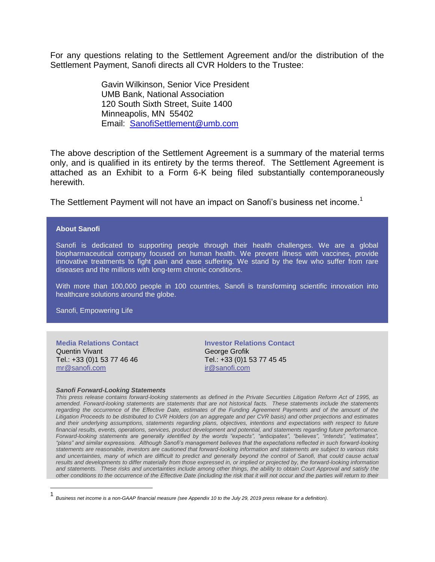For any questions relating to the Settlement Agreement and/or the distribution of the Settlement Payment, Sanofi directs all CVR Holders to the Trustee:

> Gavin Wilkinson, Senior Vice President UMB Bank, National Association 120 South Sixth Street, Suite 1400 Minneapolis, MN 55402 Email: SanofiSettlement@umb.com

The above description of the Settlement Agreement is a summary of the material terms only, and is qualified in its entirety by the terms thereof. The Settlement Agreement is attached as an Exhibit to a Form 6-K being filed substantially contemporaneously herewith.

The Settlement Payment will not have an impact on Sanofi's business net income.<sup>1</sup>

## **About Sanofi**

Sanofi is dedicated to supporting people through their health challenges. We are a global biopharmaceutical company focused on human health. We prevent illness with vaccines, provide innovative treatments to fight pain and ease suffering. We stand by the few who suffer from rare diseases and the millions with long-term chronic conditions.

With more than 100,000 people in 100 countries, Sanofi is transforming scientific innovation into healthcare solutions around the globe.

Sanofi, Empowering Life

**Media Relations Contact** Quentin Vivant Tel.: +33 (0)1 53 77 46 46 [mr@sanofi.com](mailto:mr@sanofi.com)

 $\overline{a}$ 

**Investor Relations Contact** George Grofik Tel.: +33 (0)1 53 77 45 45 [ir@sanofi.com](mailto:ir@sanofi.com)

## *Sanofi Forward-Looking Statements*

*This press release contains forward-looking statements as defined in the Private Securities Litigation Reform Act of 1995, as amended. Forward-looking statements are statements that are not historical facts. These statements include the statements*  regarding the occurrence of the Effective Date, estimates of the Funding Agreement Payments and of the amount of the *Litigation Proceeds to be distributed to CVR Holders (on an aggregate and per CVR basis) and other projections and estimates and their underlying assumptions, statements regarding plans, objectives, intentions and expectations with respect to future financial results, events, operations, services, product development and potential, and statements regarding future performance. Forward-looking statements are generally identified by the words "expects", "anticipates", "believes", "intends", "estimates", "plans" and similar expressions. Although Sanofi's management believes that the expectations reflected in such forward-looking statements are reasonable, investors are cautioned that forward-looking information and statements are subject to various risks and uncertainties, many of which are difficult to predict and generally beyond the control of Sanofi, that could cause actual results and developments to differ materially from those expressed in, or implied or projected by, the forward-looking information and statements. These risks and uncertainties include among other things, the ability to obtain Court Approval and satisfy the other conditions to the occurrence of the Effective Date (including the risk that it will not occur and the parties will return to their* 

<sup>1</sup> *Business net income is a non-GAAP financial measure (see Appendix 10 to the July 29, 2019 press release for a definition).*